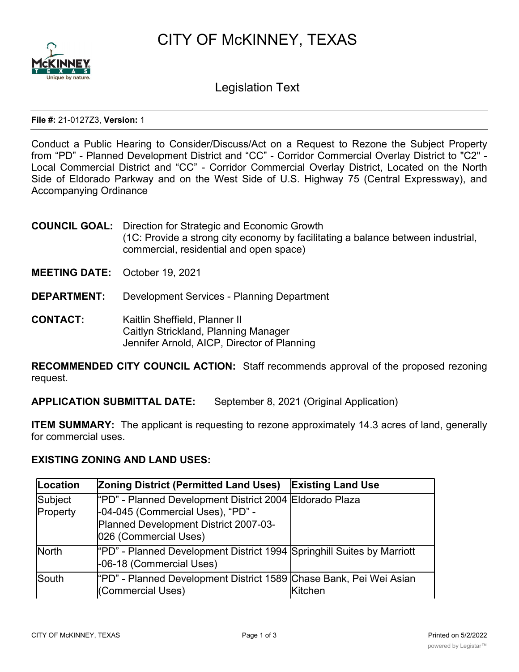



Legislation Text

**File #:** 21-0127Z3, **Version:** 1

Conduct a Public Hearing to Consider/Discuss/Act on a Request to Rezone the Subject Property from "PD" - Planned Development District and "CC" - Corridor Commercial Overlay District to "C2" - Local Commercial District and "CC" - Corridor Commercial Overlay District, Located on the North Side of Eldorado Parkway and on the West Side of U.S. Highway 75 (Central Expressway), and Accompanying Ordinance

- **COUNCIL GOAL:** Direction for Strategic and Economic Growth (1C: Provide a strong city economy by facilitating a balance between industrial, commercial, residential and open space)
- **MEETING DATE:** October 19, 2021
- **DEPARTMENT:** Development Services Planning Department
- **CONTACT:** Kaitlin Sheffield, Planner II Caitlyn Strickland, Planning Manager Jennifer Arnold, AICP, Director of Planning

**RECOMMENDED CITY COUNCIL ACTION:** Staff recommends approval of the proposed rezoning request.

**APPLICATION SUBMITTAL DATE:** September 8, 2021 (Original Application)

**ITEM SUMMARY:** The applicant is requesting to rezone approximately 14.3 acres of land, generally for commercial uses.

## **EXISTING ZONING AND LAND USES:**

| Location     | <b>Zoning District (Permitted Land Uses)</b>                                                       | <b>Existing Land Use</b> |
|--------------|----------------------------------------------------------------------------------------------------|--------------------------|
| Subject      | "PD" - Planned Development District 2004 Eldorado Plaza                                            |                          |
| Property     | -04-045 (Commercial Uses), "PD" -                                                                  |                          |
|              | Planned Development District 2007-03-                                                              |                          |
|              | 026 (Commercial Uses)                                                                              |                          |
| <b>North</b> | "PD" - Planned Development District 1994 Springhill Suites by Marriott<br>-06-18 (Commercial Uses) |                          |
| <b>South</b> | "PD" - Planned Development District 1589 Chase Bank, Pei Wei Asian<br>(Commercial Uses)            | Kitchen                  |

National Guard Recruiting,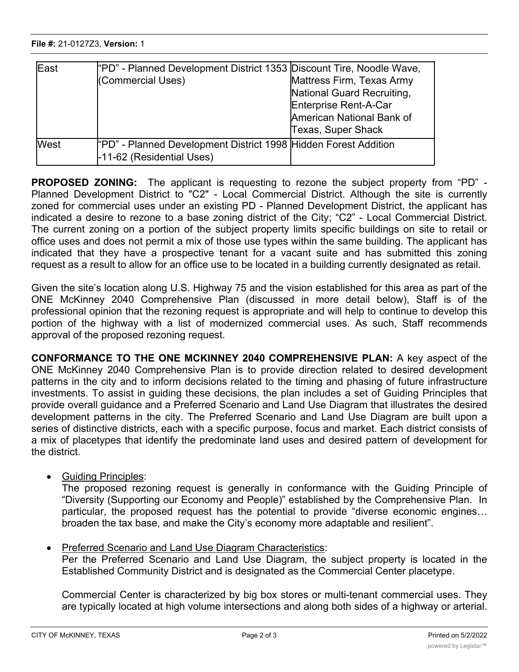$\overline{\phantom{a}}$  (Commercial Uses)  $\overline{\phantom{a}}$ 

| East        | "PD" - Planned Development District 1353 Discount Tire, Noodle Wave,<br>(Commercial Uses)    | Mattress Firm, Texas Army<br>National Guard Recruiting,<br>Enterprise Rent-A-Car<br>American National Bank of<br><b>Texas, Super Shack</b> |
|-------------|----------------------------------------------------------------------------------------------|--------------------------------------------------------------------------------------------------------------------------------------------|
| <b>West</b> | "PD" - Planned Development District 1998 Hidden Forest Addition<br>-11-62 (Residential Uses) |                                                                                                                                            |

**PROPOSED ZONING:** The applicant is requesting to rezone the subject property from "PD" - Planned Development District to "C2" - Local Commercial District. Although the site is currently zoned for commercial uses under an existing PD - Planned Development District, the applicant has indicated a desire to rezone to a base zoning district of the City; "C2" - Local Commercial District. The current zoning on a portion of the subject property limits specific buildings on site to retail or office uses and does not permit a mix of those use types within the same building. The applicant has indicated that they have a prospective tenant for a vacant suite and has submitted this zoning request as a result to allow for an office use to be located in a building currently designated as retail.

Kitchen

Given the site's location along U.S. Highway 75 and the vision established for this area as part of the ONE McKinney 2040 Comprehensive Plan (discussed in more detail below), Staff is of the professional opinion that the rezoning request is appropriate and will help to continue to develop this portion of the highway with a list of modernized commercial uses. As such, Staff recommends approval of the proposed rezoning request.

**CONFORMANCE TO THE ONE MCKINNEY 2040 COMPREHENSIVE PLAN:** A key aspect of the ONE McKinney 2040 Comprehensive Plan is to provide direction related to desired development patterns in the city and to inform decisions related to the timing and phasing of future infrastructure investments. To assist in guiding these decisions, the plan includes a set of Guiding Principles that provide overall guidance and a Preferred Scenario and Land Use Diagram that illustrates the desired development patterns in the city. The Preferred Scenario and Land Use Diagram are built upon a series of distinctive districts, each with a specific purpose, focus and market. Each district consists of a mix of placetypes that identify the predominate land uses and desired pattern of development for the district.

· Guiding Principles:

The proposed rezoning request is generally in conformance with the Guiding Principle of "Diversity (Supporting our Economy and People)" established by the Comprehensive Plan. In particular, the proposed request has the potential to provide "diverse economic engines… broaden the tax base, and make the City's economy more adaptable and resilient".

· Preferred Scenario and Land Use Diagram Characteristics:

Per the Preferred Scenario and Land Use Diagram, the subject property is located in the Established Community District and is designated as the Commercial Center placetype.

Commercial Center is characterized by big box stores or multi-tenant commercial uses. They are typically located at high volume intersections and along both sides of a highway or arterial.